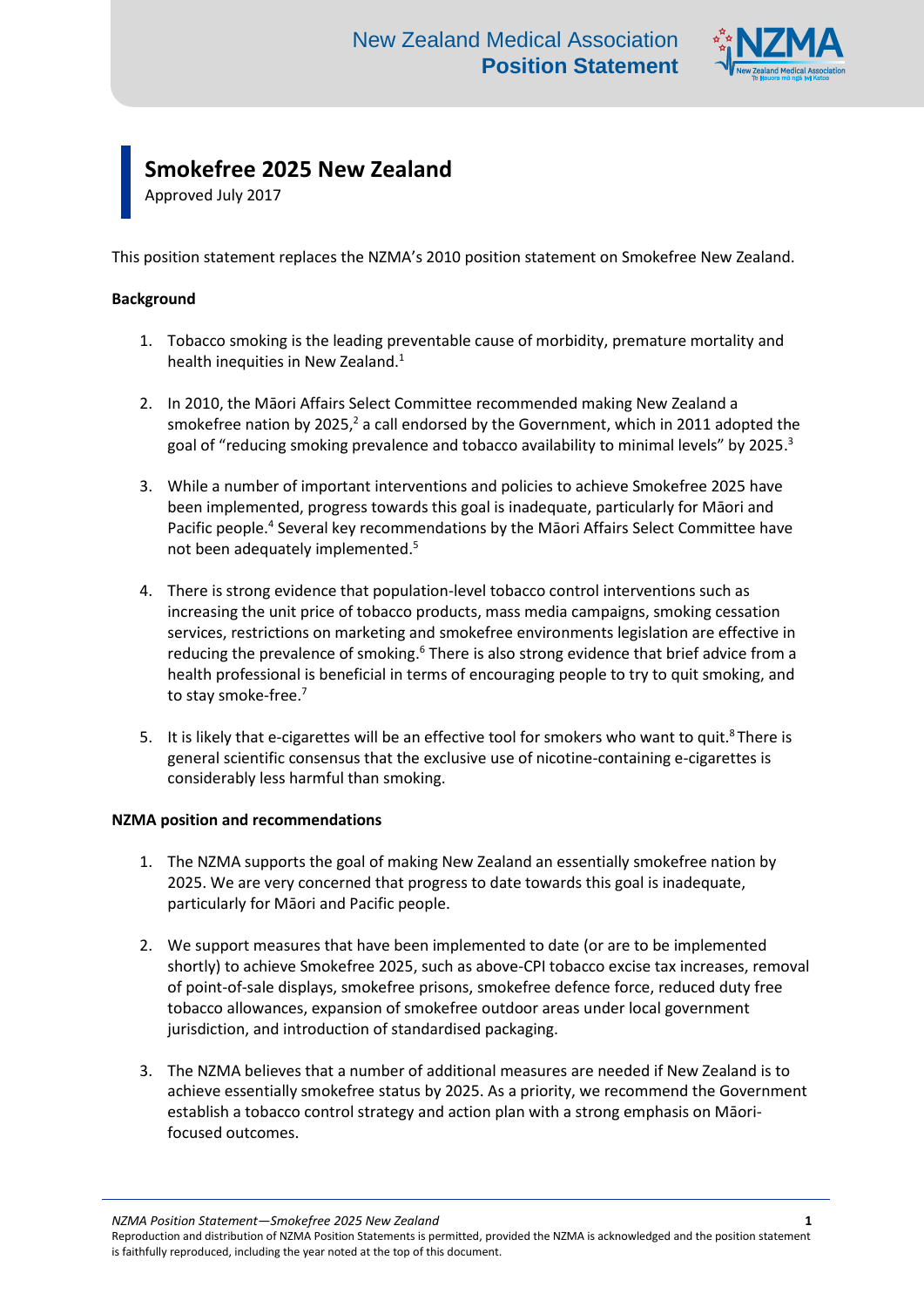

## **Smokefree 2025 New Zealand**

Approved July 2017

This position statement replaces the NZMA's 2010 position statement on Smokefree New Zealand.

## **Background**

- 1. Tobacco smoking is the leading preventable cause of morbidity, premature mortality and health inequities in New Zealand.<sup>1</sup>
- 2. In 2010, the Māori Affairs Select Committee recommended making New Zealand a smokefree nation by 2025, $^2$  a call endorsed by the Government, which in 2011 adopted the goal of "reducing smoking prevalence and tobacco availability to minimal levels" by 2025.<sup>3</sup>
- 3. While a number of important interventions and policies to achieve Smokefree 2025 have been implemented, progress towards this goal is inadequate, particularly for Māori and Pacific people.<sup>4</sup> Several key recommendations by the Māori Affairs Select Committee have not been adequately implemented.<sup>5</sup>
- 4. There is strong evidence that population-level tobacco control interventions such as increasing the unit price of tobacco products, mass media campaigns, smoking cessation services, restrictions on marketing and smokefree environments legislation are effective in reducing the prevalence of smoking.<sup>6</sup> There is also strong evidence that brief advice from a health professional is beneficial in terms of encouraging people to try to quit smoking, and to stay smoke-free.<sup>7</sup>
- 5. It is likely that e-cigarettes will be an effective tool for smokers who want to quit.<sup>8</sup> There is general scientific consensus that the exclusive use of nicotine-containing e-cigarettes is considerably less harmful than smoking.

## **NZMA position and recommendations**

- 1. The NZMA supports the goal of making New Zealand an essentially smokefree nation by 2025. We are very concerned that progress to date towards this goal is inadequate, particularly for Māori and Pacific people.
- 2. We support measures that have been implemented to date (or are to be implemented shortly) to achieve Smokefree 2025, such as above-CPI tobacco excise tax increases, removal of point-of-sale displays, smokefree prisons, smokefree defence force, reduced duty free tobacco allowances, expansion of smokefree outdoor areas under local government jurisdiction, and introduction of standardised packaging.
- 3. The NZMA believes that a number of additional measures are needed if New Zealand is to achieve essentially smokefree status by 2025. As a priority, we recommend the Government establish a tobacco control strategy and action plan with a strong emphasis on Māorifocused outcomes.

*NZMA Position Statement—Smokefree 2025 New Zealand* **1**

Reproduction and distribution of NZMA Position Statements is permitted, provided the NZMA is acknowledged and the position statement is faithfully reproduced, including the year noted at the top of this document.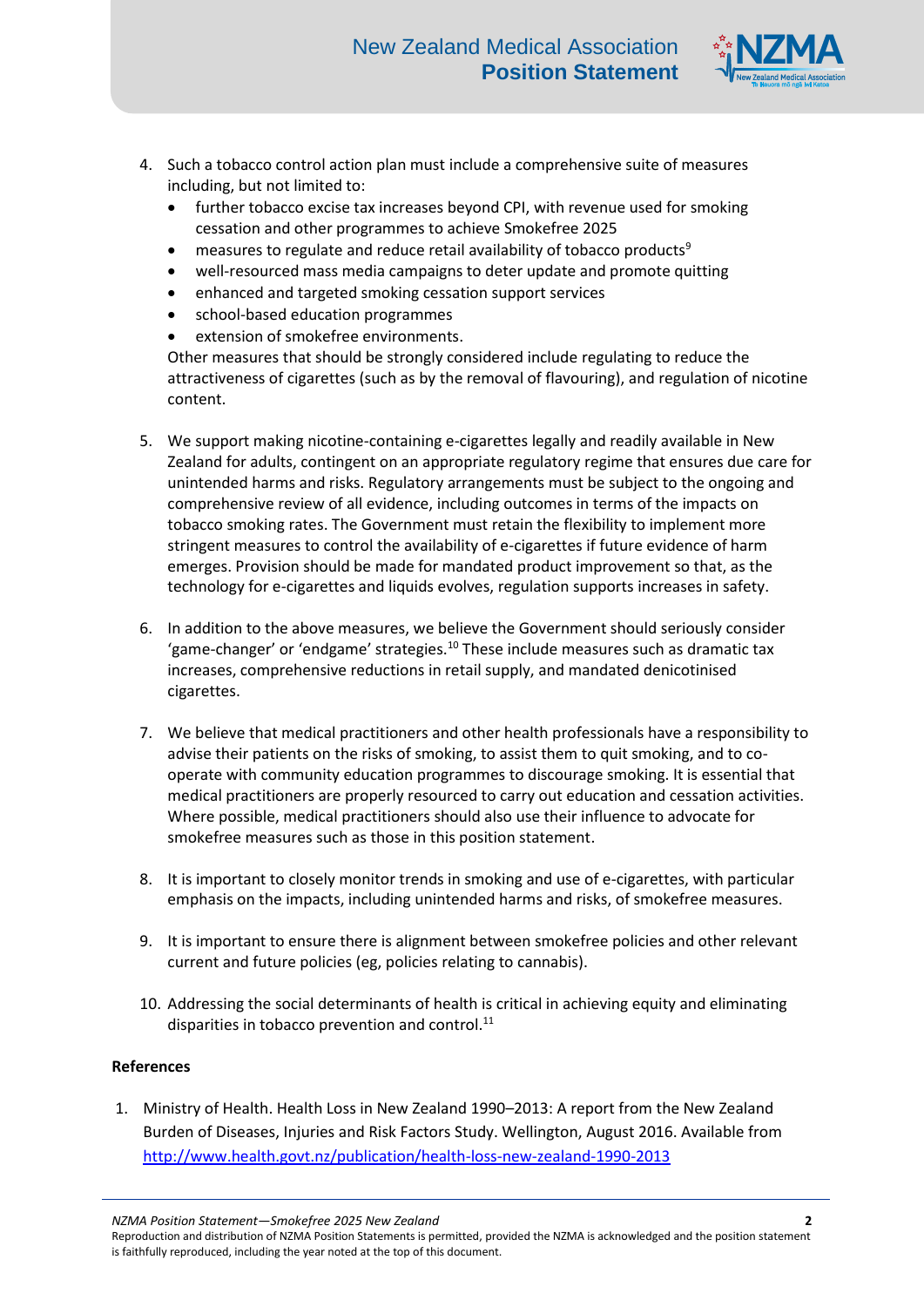

- 4. Such a tobacco control action plan must include a comprehensive suite of measures including, but not limited to:
	- further tobacco excise tax increases beyond CPI, with revenue used for smoking cessation and other programmes to achieve Smokefree 2025
	- measures to regulate and reduce retail availability of tobacco products<sup>9</sup>
	- well-resourced mass media campaigns to deter update and promote quitting
	- enhanced and targeted smoking cessation support services
	- school-based education programmes
	- extension of smokefree environments.

Other measures that should be strongly considered include regulating to reduce the attractiveness of cigarettes (such as by the removal of flavouring), and regulation of nicotine content.

- 5. We support making nicotine-containing e-cigarettes legally and readily available in New Zealand for adults, contingent on an appropriate regulatory regime that ensures due care for unintended harms and risks. Regulatory arrangements must be subject to the ongoing and comprehensive review of all evidence, including outcomes in terms of the impacts on tobacco smoking rates. The Government must retain the flexibility to implement more stringent measures to control the availability of e-cigarettes if future evidence of harm emerges. Provision should be made for mandated product improvement so that, as the technology for e-cigarettes and liquids evolves, regulation supports increases in safety.
- 6. In addition to the above measures, we believe the Government should seriously consider 'game-changer' or 'endgame' strategies.<sup>10</sup> These include measures such as dramatic tax increases, comprehensive reductions in retail supply, and mandated denicotinised cigarettes.
- 7. We believe that medical practitioners and other health professionals have a responsibility to advise their patients on the risks of smoking, to assist them to quit smoking, and to cooperate with community education programmes to discourage smoking. It is essential that medical practitioners are properly resourced to carry out education and cessation activities. Where possible, medical practitioners should also use their influence to advocate for smokefree measures such as those in this position statement.
- 8. It is important to closely monitor trends in smoking and use of e-cigarettes, with particular emphasis on the impacts, including unintended harms and risks, of smokefree measures.
- 9. It is important to ensure there is alignment between smokefree policies and other relevant current and future policies (eg, policies relating to cannabis).
- 10. Addressing the social determinants of health is critical in achieving equity and eliminating disparities in tobacco prevention and control. $^{11}$

## **References**

1. Ministry of Health. Health Loss in New Zealand 1990–2013: A report from the New Zealand Burden of Diseases, Injuries and Risk Factors Study. Wellington, August 2016. Available from <http://www.health.govt.nz/publication/health-loss-new-zealand-1990-2013>

*NZMA Position Statement—Smokefree 2025 New Zealand* **2**

Reproduction and distribution of NZMA Position Statements is permitted, provided the NZMA is acknowledged and the position statement is faithfully reproduced, including the year noted at the top of this document.